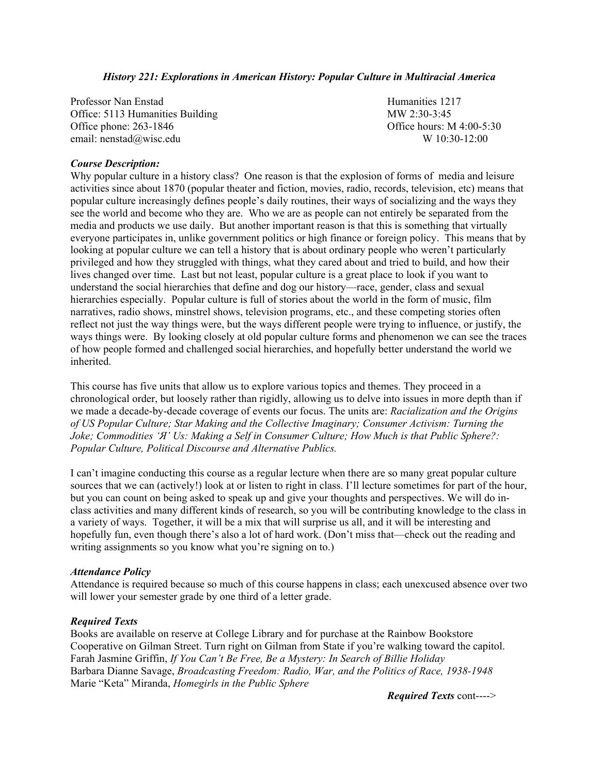### *History 221: Explorations in American History: Popular Culture in Multiracial America*

Professor Nan Enstad Humanities 1217 Office: 5113 Humanities Building MW 2:30-3:45 Office phone: 263-1846 Office hours: M 4:00-5:30 email: [nenstad@wisc.edu](mailto:nenstad@wisc.edu) W 10:30-12:00

### *Course Description:*

Why popular culture in a history class? One reason is that the explosion of forms of media and leisure activities since about 1870 (popular theater and fiction, movies, radio, records, television, etc) means that popular culture increasingly defines people's daily routines, their ways of socializing and the ways they see the world and become who they are. Who we are as people can not entirely be separated from the media and products we use daily. But another important reason is that this is something that virtually everyone participates in, unlike government politics or high finance or foreign policy. This means that by looking at popular culture we can tell a history that is about ordinary people who weren't particularly privileged and how they struggled with things, what they cared about and tried to build, and how their lives changed over time. Last but not least, popular culture is a great place to look if you want to understand the social hierarchies that define and dog our history—race, gender, class and sexual hierarchies especially. Popular culture is full of stories about the world in the form of music, film narratives, radio shows, minstrel shows, television programs, etc., and these competing stories often reflect not just the way things were, but the ways different people were trying to influence, or justify, the ways things were. By looking closely at old popular culture forms and phenomenon we can see the traces of how people formed and challenged social hierarchies, and hopefully better understand the world we inherited.

This course has five units that allow us to explore various topics and themes. They proceed in a chronological order, but loosely rather than rigidly, allowing us to delve into issues in more depth than if we made a decade-by-decade coverage of events our focus. The units are: *Racialization and the Origins of US Popular Culture; Star Making and the Collective Imaginary; Consumer Activism: Turning the Joke; Commodities 'Я' Us: Making a Self in Consumer Culture; How Much is that Public Sphere?: Popular Culture, Political Discourse and Alternative Publics.* 

I can't imagine conducting this course as a regular lecture when there are so many great popular culture sources that we can (actively!) look at or listen to right in class. I'll lecture sometimes for part of the hour, but you can count on being asked to speak up and give your thoughts and perspectives. We will do inclass activities and many different kinds of research, so you will be contributing knowledge to the class in a variety of ways. Together, it will be a mix that will surprise us all, and it will be interesting and hopefully fun, even though there's also a lot of hard work. (Don't miss that—check out the reading and writing assignments so you know what you're signing on to.)

#### *Attendance Policy*

Attendance is required because so much of this course happens in class; each unexcused absence over two will lower your semester grade by one third of a letter grade.

#### *Required Texts*

Books are available on reserve at College Library and for purchase at the Rainbow Bookstore Cooperative on Gilman Street. Turn right on Gilman from State if you're walking toward the capitol. Farah Jasmine Griffin, *If You Can't Be Free, Be a Mystery: In Search of Billie Holiday*  Barbara Dianne Savage, *Broadcasting Freedom: Radio, War, and the Politics of Race, 1938-1948*  Marie "Keta" Miranda, *Homegirls in the Public Sphere*

 *Required Texts* cont---->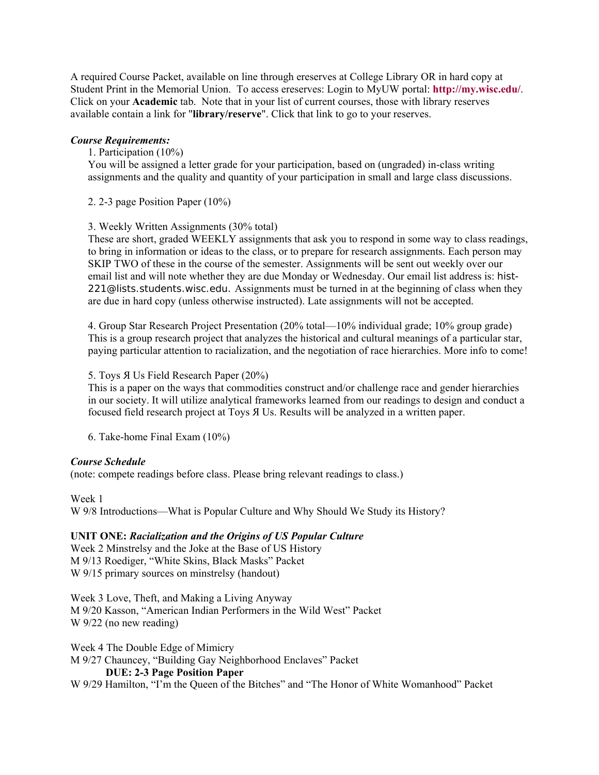A required Course Packet, available on line through ereserves at College Library OR in hard copy at Student Print in the Memorial Union. To access ereserves: Login to MyUW portal: **<http://my.wisc.edu/>**. Click on your **Academic** tab. Note that in your list of current courses, those with library reserves available contain a link for "**library/reserve**". Click that link to go to your reserves.

## *Course Requirements:*

1. Participation (10%)

You will be assigned a letter grade for your participation, based on (ungraded) in-class writing assignments and the quality and quantity of your participation in small and large class discussions.

2. 2-3 page Position Paper (10%)

## 3. Weekly Written Assignments (30% total)

These are short, graded WEEKLY assignments that ask you to respond in some way to class readings, to bring in information or ideas to the class, or to prepare for research assignments. Each person may SKIP TWO of these in the course of the semester. Assignments will be sent out weekly over our email list and will note whether they are due Monday or Wednesday. Our email list address is: [hist-](mailto:hist-221@lists.students.wisc.edu)[221@lists.students.wisc.edu.](mailto:hist-221@lists.students.wisc.edu) Assignments must be turned in at the beginning of class when they are due in hard copy (unless otherwise instructed). Late assignments will not be accepted.

4. Group Star Research Project Presentation (20% total—10% individual grade; 10% group grade) This is a group research project that analyzes the historical and cultural meanings of a particular star, paying particular attention to racialization, and the negotiation of race hierarchies. More info to come!

## 5. Toys Я Us Field Research Paper (20%)

This is a paper on the ways that commodities construct and/or challenge race and gender hierarchies in our society. It will utilize analytical frameworks learned from our readings to design and conduct a focused field research project at Toys Я Us. Results will be analyzed in a written paper.

6. Take-home Final Exam (10%)

# *Course Schedule*

(note: compete readings before class. Please bring relevant readings to class.)

Week 1

W 9/8 Introductions—What is Popular Culture and Why Should We Study its History?

# **UNIT ONE:** *Racialization and the Origins of US Popular Culture*

Week 2 Minstrelsy and the Joke at the Base of US History M 9/13 Roediger, "White Skins, Black Masks" Packet W 9/15 primary sources on minstrelsy (handout)

Week 3 Love, Theft, and Making a Living Anyway M 9/20 Kasson, "American Indian Performers in the Wild West" Packet W 9/22 (no new reading)

Week 4 The Double Edge of Mimicry

M 9/27 Chauncey, "Building Gay Neighborhood Enclaves" Packet

# **DUE: 2-3 Page Position Paper**

W 9/29 Hamilton, "I'm the Queen of the Bitches" and "The Honor of White Womanhood" Packet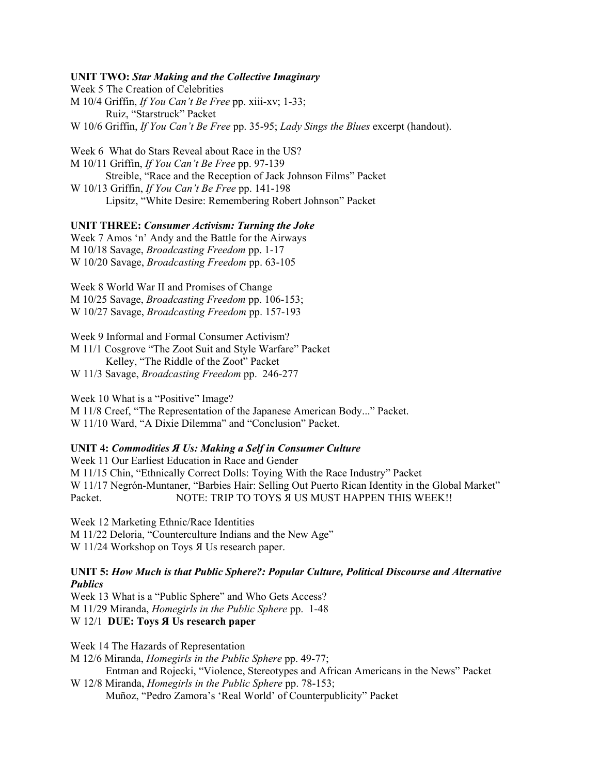### **UNIT TWO:** *Star Making and the Collective Imaginary*

Week 5 The Creation of Celebrities M 10/4 Griffin, *If You Can't Be Free* pp. xiii-xv; 1-33; Ruiz, "Starstruck" Packet W 10/6 Griffin, *If You Can't Be Free* pp. 35-95; *Lady Sings the Blues* excerpt (handout).

Week 6 What do Stars Reveal about Race in the US? M 10/11 Griffin, *If You Can't Be Free* pp. 97-139 Streible, "Race and the Reception of Jack Johnson Films" Packet W 10/13 Griffin, *If You Can't Be Free* pp. 141-198 Lipsitz, "White Desire: Remembering Robert Johnson" Packet

### **UNIT THREE:** *Consumer Activism: Turning the Joke*

Week 7 Amos 'n' Andy and the Battle for the Airways M 10/18 Savage, *Broadcasting Freedom* pp. 1-17 W 10/20 Savage, *Broadcasting Freedom* pp. 63-105

Week 8 World War II and Promises of Change M 10/25 Savage, *Broadcasting Freedom* pp. 106-153; W 10/27 Savage, *Broadcasting Freedom* pp. 157-193

Week 9 Informal and Formal Consumer Activism? M 11/1 Cosgrove "The Zoot Suit and Style Warfare" Packet Kelley, "The Riddle of the Zoot" Packet W 11/3 Savage, *Broadcasting Freedom* pp. 246-277

Week 10 What is a "Positive" Image? M 11/8 Creef, "The Representation of the Japanese American Body..." Packet. W 11/10 Ward, "A Dixie Dilemma" and "Conclusion" Packet.

### **UNIT 4:** *Commodities Я Us: Making a Self in Consumer Culture*

Week 11 Our Earliest Education in Race and Gender M 11/15 Chin, "Ethnically Correct Dolls: Toying With the Race Industry" Packet W 11/17 Negrón-Muntaner, "Barbies Hair: Selling Out Puerto Rican Identity in the Global Market" Packet. NOTE: TRIP TO TOYS A US MUST HAPPEN THIS WEEK!!

Week 12 Marketing Ethnic/Race Identities M 11/22 Deloria, "Counterculture Indians and the New Age" W 11/24 Workshop on Toys Я Us research paper.

#### **UNIT 5:** *How Much is that Public Sphere?: Popular Culture, Political Discourse and Alternative Publics*

Week 13 What is a "Public Sphere" and Who Gets Access? M 11/29 Miranda, *Homegirls in the Public Sphere* pp. 1-48 W 12/1 **DUE: Toys Я Us research paper** 

Week 14 The Hazards of Representation

M 12/6 Miranda, *Homegirls in the Public Sphere* pp. 49-77;

Entman and Rojecki, "Violence, Stereotypes and African Americans in the News" Packet W 12/8 Miranda, *Homegirls in the Public Sphere* pp. 78-153;

Muñoz, "Pedro Zamora's 'Real World' of Counterpublicity" Packet